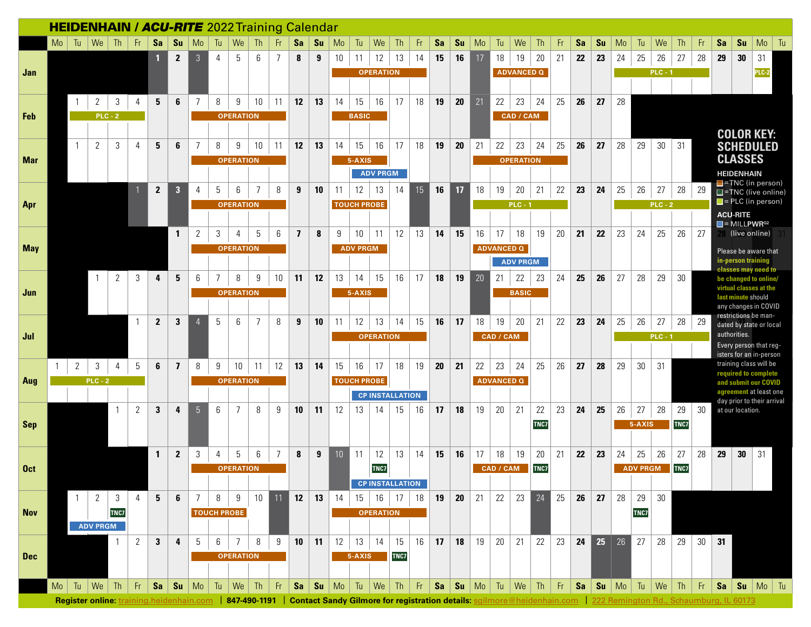| <b>HEIDENHAIN / ACU-RITE</b> 2022 Training Calendar |    |                |                                      |           |              |              |                         |                |                    |                  |                |                |                |    |    |                 |                                                                |           |                  |           |                 |    |                   |                   |                   |    |    |                |    |                 |           |      |     |    |                                                                                                                                                                             |                                                                |
|-----------------------------------------------------|----|----------------|--------------------------------------|-----------|--------------|--------------|-------------------------|----------------|--------------------|------------------|----------------|----------------|----------------|----|----|-----------------|----------------------------------------------------------------|-----------|------------------|-----------|-----------------|----|-------------------|-------------------|-------------------|----|----|----------------|----|-----------------|-----------|------|-----|----|-----------------------------------------------------------------------------------------------------------------------------------------------------------------------------|----------------------------------------------------------------|
|                                                     |    | $Mo$ Tu        | We                                   | Th        | - Fr         | Sa           | Su                      | Mo             | Tu                 | We               | Th             | Fr.            | Sa             | Su | Mo | Tu              | We                                                             | <b>Th</b> | Fr.              | <b>Sa</b> | Su              | Mo | Tu                | We                | Th                | Fr | Sa | Su             | Mo | Tu              | We        | Th   | Fr  | Sa | Su                                                                                                                                                                          | Mo<br>Tu                                                       |
|                                                     |    |                |                                      |           |              |              | $\mathbf{2}$            | $\mathfrak{Z}$ | 4                  | 5                | 6              | $\overline{7}$ | 8              | 9  | 10 | 11              | 12                                                             | 13        | 14               | 15        | 16              | 17 | 18                | 19                | 20                | 21 | 22 | 23             | 24 | 25              | 26        | 27   | 28  | 29 | 30                                                                                                                                                                          | 31                                                             |
| Jan                                                 |    |                |                                      |           |              |              |                         |                |                    |                  |                |                |                |    |    |                 | <b>OPERATION</b>                                               |           |                  |           |                 |    |                   | <b>ADVANCED Q</b> |                   |    |    |                |    |                 | $PLC - 1$ |      |     |    |                                                                                                                                                                             | PLC-2                                                          |
|                                                     |    |                |                                      |           |              |              |                         |                |                    |                  |                |                |                |    |    |                 |                                                                |           |                  |           |                 |    |                   |                   |                   |    |    |                |    |                 |           |      |     |    |                                                                                                                                                                             |                                                                |
|                                                     |    |                | 2                                    | 3         | 4            | 5            | 6                       | $\overline{7}$ | 8                  | 9                | 10             | 11             | 12             | 13 | 14 | 15              | 16                                                             | 17        | 18               | 19        | 20              | 21 | 22                | 23                | 24                | 25 | 26 | 27             | 28 |                 |           |      |     |    |                                                                                                                                                                             |                                                                |
| Feb                                                 |    |                |                                      | $PLC - 2$ |              |              |                         |                |                    | <b>OPERATION</b> |                |                |                |    |    | <b>BASIC</b>    |                                                                |           |                  |           |                 |    |                   | CAD / CAM         |                   |    |    |                |    |                 |           |      |     |    |                                                                                                                                                                             |                                                                |
|                                                     |    |                |                                      |           |              |              |                         |                |                    |                  |                |                |                |    |    |                 |                                                                |           |                  |           |                 |    |                   |                   |                   |    |    |                |    |                 |           |      |     |    | <b>COLOR KEY:</b>                                                                                                                                                           |                                                                |
|                                                     |    | $\overline{1}$ | $\overline{2}$                       | 3         | 4            | 5            | 6                       | 7              | 8                  | 9                | 10             | 11             | 12             | 13 | 14 | 15              | 16                                                             | 17        | 18               | 19        | 20              | 21 | 22                | 23                | 24                | 25 | 26 | 27             | 28 | 29              | 30        | 31   |     |    | <b>SCHEDULED</b>                                                                                                                                                            |                                                                |
| <b>Mar</b>                                          |    |                |                                      |           |              |              |                         |                |                    | <b>OPERATION</b> |                |                |                |    |    | 5-AXIS          |                                                                |           |                  |           |                 |    |                   | <b>OPERATION</b>  |                   |    |    |                |    |                 |           |      |     |    | <b>CLASSES</b>                                                                                                                                                              |                                                                |
|                                                     |    |                |                                      |           |              |              |                         |                |                    |                  |                |                |                |    |    |                 | <b>ADV PRGM</b>                                                |           |                  |           |                 |    |                   |                   |                   |    |    |                |    |                 |           |      |     |    | <b>HEIDENHAIN</b>                                                                                                                                                           |                                                                |
|                                                     |    |                |                                      |           |              | $\mathbf{2}$ | $\overline{\mathbf{3}}$ | 4              | 5                  | 6                | $\overline{7}$ | 8              | 9              | 10 | 11 | 12              | 13                                                             | 14        | 15 <sup>15</sup> | 16        | 17              | 18 | 19                | 20                | 21                | 22 | 23 | 24             | 25 | 26              | 27        | 28   | -29 |    |                                                                                                                                                                             | <b>F</b> =TNC (in person)<br>$\blacksquare$ =TNC (live online) |
| Apr                                                 |    |                |                                      |           |              |              |                         |                |                    | <b>OPERATION</b> |                |                |                |    |    |                 | <b>TOUCH PROBE</b>                                             |           |                  |           |                 |    |                   | $PLC - 1$         |                   |    |    |                |    |                 | $PLC - 2$ |      |     |    |                                                                                                                                                                             | $\blacksquare$ = PLC (in person)                               |
|                                                     |    |                |                                      |           |              |              |                         |                |                    |                  |                |                |                |    |    |                 |                                                                |           |                  |           |                 |    |                   |                   |                   |    |    |                |    |                 |           |      |     |    | <b>ACU-RITE</b>                                                                                                                                                             |                                                                |
|                                                     |    |                |                                      |           |              |              | $\overline{1}$          | 2              | 3                  | 4                | 5              | 6              | $\overline{7}$ | 8  | 9  | 10              | 11                                                             | 12        | 13               | 14        | 15              | 16 | 17                | 18                | 19                | 20 | 21 | 22             | 23 | 24              | 25        | 26   | 27  |    | $\blacksquare$ = MILLPWR <sup>G2</sup><br>(live online)                                                                                                                     |                                                                |
| <b>May</b>                                          |    |                |                                      |           |              |              |                         |                |                    | <b>OPERATION</b> |                |                |                |    |    | <b>ADV PRGM</b> |                                                                |           |                  |           |                 |    | <b>ADVANCED Q</b> |                   |                   |    |    |                |    |                 |           |      |     |    | Please be aware that                                                                                                                                                        |                                                                |
|                                                     |    |                |                                      |           |              |              |                         |                |                    |                  |                |                |                |    |    |                 |                                                                |           |                  |           |                 |    |                   | <b>ADV PRGM</b>   |                   |    |    |                |    |                 |           |      |     |    | in-person training                                                                                                                                                          |                                                                |
|                                                     |    |                | $\overline{1}$                       | 2         | 3            | 4            | 5                       | 6              | 7                  | 8                | 9              | 10             | 11             | 12 | 13 | 14              | 15                                                             | 16        | 17               | 18        | 19              | 20 | 21                | 22                | 23                | 24 | 25 | 26             | 27 | 28              | 29        | 30   |     |    | classes may need to<br>be changed to online/                                                                                                                                |                                                                |
| Jun                                                 |    |                |                                      |           |              |              |                         |                |                    | <b>OPERATION</b> |                |                |                |    |    | 5-AXIS          |                                                                |           |                  |           |                 |    |                   | <b>BASIC</b>      |                   |    |    |                |    |                 |           |      |     |    | virtual classes at the                                                                                                                                                      |                                                                |
|                                                     |    |                |                                      |           |              |              |                         |                |                    |                  |                |                |                |    |    |                 |                                                                |           |                  |           |                 |    |                   |                   |                   |    |    |                |    |                 |           |      |     |    | last minute should<br>any changes in COVID                                                                                                                                  |                                                                |
|                                                     |    |                |                                      |           |              | $\mathbf{2}$ | 3                       |                | 5                  | 6                | $\overline{7}$ | 8              | 9              | 10 | 11 | 12              | 13                                                             | 14        | 15               | 16        | 17              | 18 | 19                | 20                | 21                | 22 | 23 | 24             | 25 | 26              | 27        | 28   | -29 |    | restrictions be man-                                                                                                                                                        | dated by state or local                                        |
| Jul                                                 |    |                |                                      |           |              |              |                         |                |                    |                  |                |                |                |    |    |                 | <b>OPERATION</b>                                               |           |                  |           |                 |    | CAD / CAM         |                   |                   |    |    |                |    |                 | $PLC - 1$ |      |     |    | authorities.                                                                                                                                                                |                                                                |
|                                                     |    |                |                                      |           |              |              |                         |                |                    |                  |                |                |                |    |    |                 |                                                                |           |                  |           |                 |    |                   |                   |                   |    |    |                |    |                 |           |      |     |    | Every person that reg-                                                                                                                                                      |                                                                |
|                                                     | -1 | 2              | 3                                    | 4         | 5            | 6            | $\overline{\mathbf{z}}$ | 8              | 9                  | 10               | 11             | 12             | 13             | 14 | 15 | 16              | 17                                                             | 18        | 19               | 20        | 21              | 22 | 23                | 24                | 25                | 26 | 27 | 28             | 29 | 30              | 31        |      |     |    | isters for an in-person<br>training class will be                                                                                                                           |                                                                |
| Aug                                                 |    |                | $PLC - 2$                            |           |              |              |                         |                |                    | <b>OPERATION</b> |                |                |                |    |    |                 | <b>TOUCH PROBE</b>                                             |           |                  |           |                 |    | <b>ADVANCED Q</b> |                   |                   |    |    |                |    |                 |           |      |     |    | required to complete<br>and submit our COVID                                                                                                                                |                                                                |
|                                                     |    |                |                                      |           |              |              |                         |                |                    |                  |                |                |                |    |    |                 | <b>CP INSTALLATION</b>                                         |           |                  |           |                 |    |                   |                   |                   |    |    |                |    |                 |           |      |     |    |                                                                                                                                                                             | agreement at least one                                         |
|                                                     |    |                |                                      |           | 2            | 3            | 4                       | 5 <sup>5</sup> | 6                  | 7                | 8              | 9              | 10             | 11 | 12 | 13              | 14                                                             | 15        | 16               | 17        | 18              | 19 | 20                | 21                | 22                | 23 | 24 | 25             | 26 | 27              | 28        | 29   | -30 |    | at our location.                                                                                                                                                            | day prior to their arrival                                     |
| Sep                                                 |    |                |                                      |           |              |              |                         |                |                    |                  |                |                |                |    |    |                 |                                                                |           |                  |           |                 |    |                   |                   | TNC7              |    |    |                |    | 5-AXIS          |           | TNC7 |     |    |                                                                                                                                                                             |                                                                |
|                                                     |    |                |                                      |           |              |              |                         |                |                    |                  |                |                |                |    |    |                 |                                                                |           |                  |           |                 |    |                   |                   |                   |    |    |                |    |                 |           |      |     |    |                                                                                                                                                                             |                                                                |
|                                                     |    |                |                                      |           |              | $\mathbf{1}$ | $\mathbf{2}$            | 3              | 4                  | 5                | 6              | $\overline{7}$ | 8              | 9  | 10 | 11              | 12                                                             | 13        | 14               | 15        | 16              | 17 | 18                | 19                | 20                | 21 | 22 | 23             | 24 | 25              | 26        | 27   | 28  | 29 | 30                                                                                                                                                                          | 31                                                             |
| 0 <sub>ct</sub>                                     |    |                |                                      |           |              |              |                         |                |                    | <b>OPERATION</b> |                |                |                |    |    |                 | TNC7                                                           |           |                  |           |                 |    | CAD / CAM         |                   | TNC7              |    |    |                |    | <b>ADV PRGM</b> |           | TNC7 |     |    |                                                                                                                                                                             |                                                                |
|                                                     |    |                |                                      |           |              |              |                         |                |                    |                  |                |                |                |    |    |                 | <b>CP INSTALLATION</b>                                         |           |                  |           |                 |    |                   |                   |                   |    |    |                |    |                 |           |      |     |    |                                                                                                                                                                             |                                                                |
|                                                     |    | $\overline{1}$ | 2                                    | -3        | 4            | 5            | 6                       | 7              | 8                  | 9                | 10             | 11             | 12             | 13 | 14 | 15              | 16                                                             | 17        | 18               | 19        | 20 <sub>2</sub> | 21 | 22                |                   | $23\overline{24}$ | 25 | 26 | 27             | 28 | 29              | 30        |      |     |    |                                                                                                                                                                             |                                                                |
| <b>Nov</b>                                          |    |                |                                      | TNC7      |              |              |                         |                | <b>TOUCH PROBE</b> |                  |                |                |                |    |    |                 | <b>OPERATION</b>                                               |           |                  |           |                 |    |                   |                   |                   |    |    |                |    | TNC7            |           |      |     |    |                                                                                                                                                                             |                                                                |
|                                                     |    |                | <b>ADV PRGM</b>                      |           |              |              |                         |                |                    |                  |                |                |                |    |    |                 |                                                                |           |                  |           |                 |    |                   |                   |                   |    |    |                |    |                 |           |      |     |    |                                                                                                                                                                             |                                                                |
|                                                     |    |                |                                      |           | $\mathbf{2}$ | $\mathbf{3}$ | 4                       | 5              | 6                  | $\overline{7}$   | 8              | 9              | 10             | 11 |    |                 | $12$   13   14                                                 | 15        | 16               | 17        | 18              | 19 |                   | $20 \mid 21$      | 22                | 23 |    | $24$ $25$ $26$ |    | 27              | 28        | 29   | 30  | 31 |                                                                                                                                                                             |                                                                |
| <b>Dec</b>                                          |    |                |                                      |           |              |              |                         |                |                    | <b>OPERATION</b> |                |                |                |    |    | 5-AXIS          |                                                                | TNC7      |                  |           |                 |    |                   |                   |                   |    |    |                |    |                 |           |      |     |    |                                                                                                                                                                             |                                                                |
|                                                     |    |                |                                      |           |              |              |                         |                |                    |                  |                |                |                |    |    |                 |                                                                |           |                  |           |                 |    |                   |                   |                   |    |    |                |    |                 |           |      |     |    |                                                                                                                                                                             |                                                                |
|                                                     |    |                | $\mathsf{Mo}$ Tu $\mathsf{We}$ Th Fr |           |              |              |                         |                |                    |                  |                |                |                |    |    |                 | Sa Su Mo Tu We Th Fr Sa Su Mo Tu We Th Fr Sa Su Mo Tu We Th Fr |           |                  |           |                 |    |                   |                   |                   |    |    |                |    |                 |           |      |     |    |                                                                                                                                                                             | $Sa$ $Su$ $Mo$ $Tu$                                            |
|                                                     |    |                |                                      |           |              |              |                         |                |                    |                  |                |                |                |    |    |                 |                                                                |           |                  |           |                 |    |                   |                   |                   |    |    |                |    |                 |           |      |     |    | Register online: training.heidenhain.com   847-490-1191   Contact Sandy Gilmore for registration details: sgilmore@heidenhain.com   222 Remington Rd., Schaumburg, IL 60173 |                                                                |